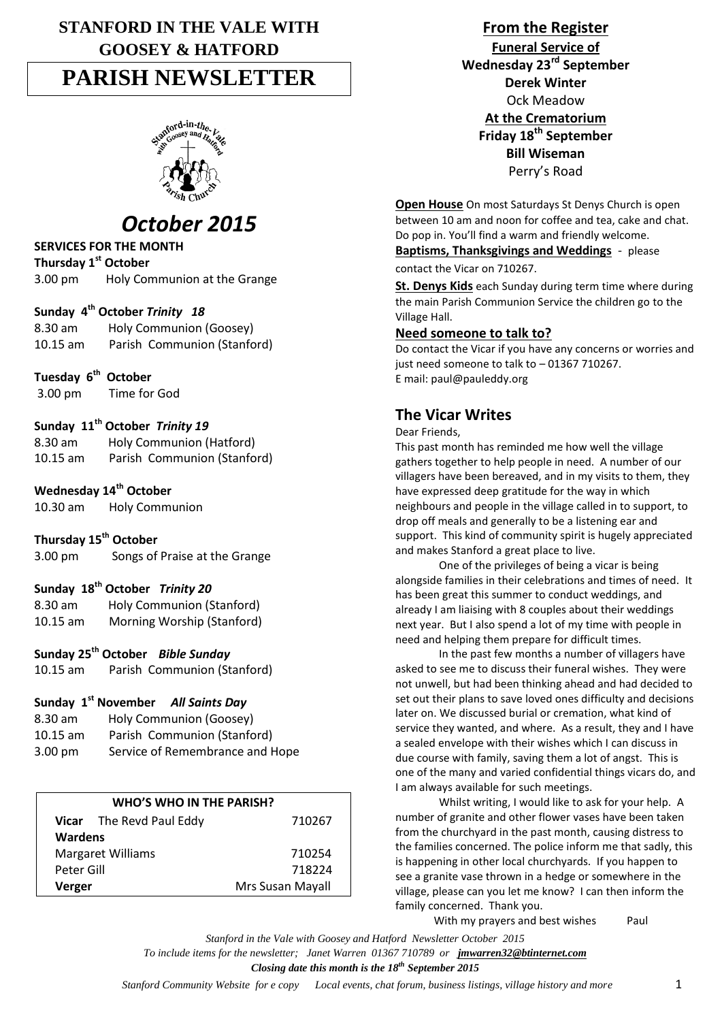# **STANFORD IN THE VALE WITH GOOSEY & HATFORD PARISH NEWSLETTER**



# *October 2015*

## **SERVICES FOR THE MONTH**

**Thursday 1st October**

3.00 pm Holy Communion at the Grange

## **Sunday 4th October** *Trinity 18*

8.30 am Holy Communion (Goosey) 10.15 am Parish Communion (Stanford)

**Tuesday 6 th October**

3.00 pm Time for God

## **Sunday 11th October** *Trinity 19*

| 8.30 am    | Holy Communion (Hatford)    |
|------------|-----------------------------|
| $10.15$ am | Parish Communion (Stanford) |

## **Wednesday 14th October**

10.30 am Holy Communion

### **Thursday 15th October**

3.00 pm Songs of Praise at the Grange

### **Sunday 18th October** *Trinity 20*

8.30 am Holy Communion (Stanford) 10.15 am Morning Worship (Stanford)

### **Sunday 25th October** *Bible Sunday*

10.15 am Parish Communion (Stanford)

## **Sunday 1st November** *All Saints Day*

| $8.30$ am         | Holy Communion (Goosey)         |
|-------------------|---------------------------------|
| $10.15$ am        | Parish Communion (Stanford)     |
| $3.00 \text{ pm}$ | Service of Remembrance and Hope |

| WHO'S WHO IN THE PARISH? |                                 |                  |  |
|--------------------------|---------------------------------|------------------|--|
|                          | <b>Vicar</b> The Revd Paul Eddy | 710267           |  |
| <b>Wardens</b>           |                                 |                  |  |
| <b>Margaret Williams</b> |                                 | 710254           |  |
| Peter Gill               |                                 | 718224           |  |
| Verger                   |                                 | Mrs Susan Mayall |  |

**From the Register Funeral Service of Wednesday 23rd September Derek Winter** Ock Meadow **At the Crematorium Friday 18th September Bill Wiseman** Perry's Road

**Open House** On most Saturdays St Denys Church is open between 10 am and noon for coffee and tea, cake and chat. Do pop in. You'll find a warm and friendly welcome.

**Baptisms, Thanksgivings and Weddings** - please

contact the Vicar on 710267.

**St. Denys Kids** each Sunday during term time where during the main Parish Communion Service the children go to the Village Hall.

#### **Need someone to talk to?**

Do contact the Vicar if you have any concerns or worries and just need someone to talk to – 01367 710267. E mail: paul@pauleddy.org

## **The Vicar Writes**

Dear Friends,

This past month has reminded me how well the village gathers together to help people in need. A number of our villagers have been bereaved, and in my visits to them, they have expressed deep gratitude for the way in which neighbours and people in the village called in to support, to drop off meals and generally to be a listening ear and support. This kind of community spirit is hugely appreciated and makes Stanford a great place to live.

One of the privileges of being a vicar is being alongside families in their celebrations and times of need. It has been great this summer to conduct weddings, and already I am liaising with 8 couples about their weddings next year. But I also spend a lot of my time with people in need and helping them prepare for difficult times.

In the past few months a number of villagers have asked to see me to discuss their funeral wishes. They were not unwell, but had been thinking ahead and had decided to set out their plans to save loved ones difficulty and decisions later on. We discussed burial or cremation, what kind of service they wanted, and where. As a result, they and I have a sealed envelope with their wishes which I can discuss in due course with family, saving them a lot of angst. This is one of the many and varied confidential things vicars do, and I am always available for such meetings.

Whilst writing, I would like to ask for your help. A number of granite and other flower vases have been taken from the churchyard in the past month, causing distress to the families concerned. The police inform me that sadly, this is happening in other local churchyards. If you happen to see a granite vase thrown in a hedge or somewhere in the village, please can you let me know? I can then inform the family concerned. Thank you.

With my prayers and best wishes Paul

*Stanford in the Vale with Goosey and Hatford Newsletter October 2015 To include items for the newsletter; Janet Warren 01367 710789 or jmwarren32@btinternet.com Closing date this month is the 18th September 2015*

*Stanford Community Website for e copy Local events, chat forum, business listings, village history and more* 1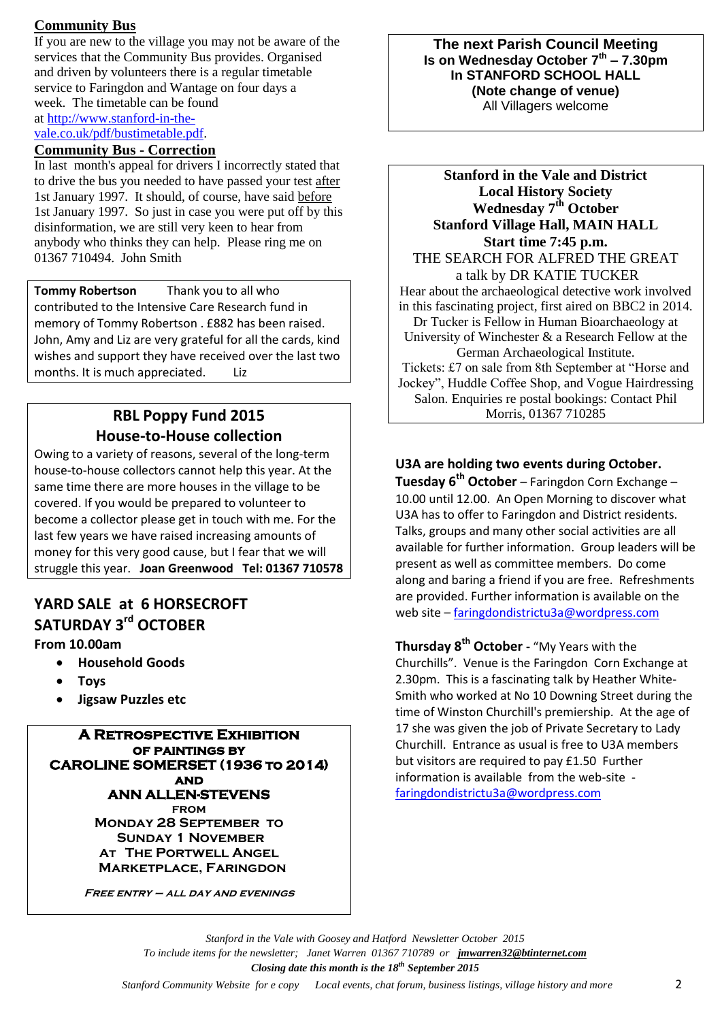## **Community Bus**

If you are new to the village you may not be aware of the services that the Community Bus provides. Organised and driven by volunteers there is a regular timetable service to Faringdon and Wantage on four days a week. The timetable can be found at [http://www.stanford-in-the](http://www.stanford-in-the-vale.co.uk/pdf/bustimetable.pdf)[vale.co.uk/pdf/bustimetable.pdf.](http://www.stanford-in-the-vale.co.uk/pdf/bustimetable.pdf)

## **Community Bus - Correction**

In last month's appeal for drivers I incorrectly stated that to drive the bus you needed to have passed your test after 1st January 1997. It should, of course, have said before 1st January 1997. So just in case you were put off by this disinformation, we are still very keen to hear from anybody who thinks they can help. Please ring me on 01367 710494. John Smith

**Tommy Robertson** Thank you to all who contributed to the Intensive Care Research fund in memory of Tommy Robertson . £882 has been raised. John, Amy and Liz are very grateful for all the cards, kind wishes and support they have received over the last two months. It is much appreciated. Liz

# **RBL Poppy Fund 2015 House-to-House collection**

Owing to a variety of reasons, several of the long-term house-to-house collectors cannot help this year. At the same time there are more houses in the village to be covered. If you would be prepared to volunteer to become a collector please get in touch with me. For the last few years we have raised increasing amounts of money for this very good cause, but I fear that we will struggle this year. **Joan Greenwood Tel: 01367 710578**

## **YARD SALE at 6 HORSECROFT SATURDAY 3rd OCTOBER**

**From 10.00am**

- **Household Goods**
- **Toys**
- **Jigsaw Puzzles etc**

**A Retrospective Exhibition of paintings by CAROLINE SOMERSET (1936 to 2014) and ANN ALLEN-STEVENS from Monday 28 September to Sunday 1 November At The Portwell Angel Marketplace, Faringdon**

**Free entry – all day and evenings**

**The next Parish Council Meeting Is on Wednesday October 7th – 7.30pm In STANFORD SCHOOL HALL (Note change of venue)** All Villagers welcome

**Stanford in the Vale and District Local History Society Wednesday 7th October Stanford Village Hall, MAIN HALL Start time 7:45 p.m.** THE SEARCH FOR ALFRED THE GREAT a talk by DR KATIE TUCKER Hear about the archaeological detective work involved in this fascinating project, first aired on BBC2 in 2014. Dr Tucker is Fellow in Human Bioarchaeology at University of Winchester & a Research Fellow at the German Archaeological Institute. Tickets: £7 on sale from 8th September at "Horse and Jockey", Huddle Coffee Shop, and Vogue Hairdressing Salon. Enquiries re postal bookings: Contact Phil Morris, 01367 710285

**U3A are holding two events during October. Tuesday 6th October** – Faringdon Corn Exchange – 10.00 until 12.00. An Open Morning to discover what U3A has to offer to Faringdon and District residents. Talks, groups and many other social activities are all available for further information. Group leaders will be present as well as committee members. Do come along and baring a friend if you are free. Refreshments are provided. Further information is available on the web site – [faringdondistrictu3a@wordpress.com](mailto:faringdondistrictu3a@wordpress.com)

**Thursday 8th October -** "My Years with the Churchills". Venue is the Faringdon Corn Exchange at 2.30pm. This is a fascinating talk by Heather White-Smith who worked at No 10 Downing Street during the time of Winston Churchill's premiership. At the age of 17 she was given the job of Private Secretary to Lady Churchill. Entrance as usual is free to U3A members but visitors are required to pay £1.50 Further information is available from the web-site [faringdondistrictu3a@wordpress.com](mailto:faringdondistrictu3a@wordpress.com)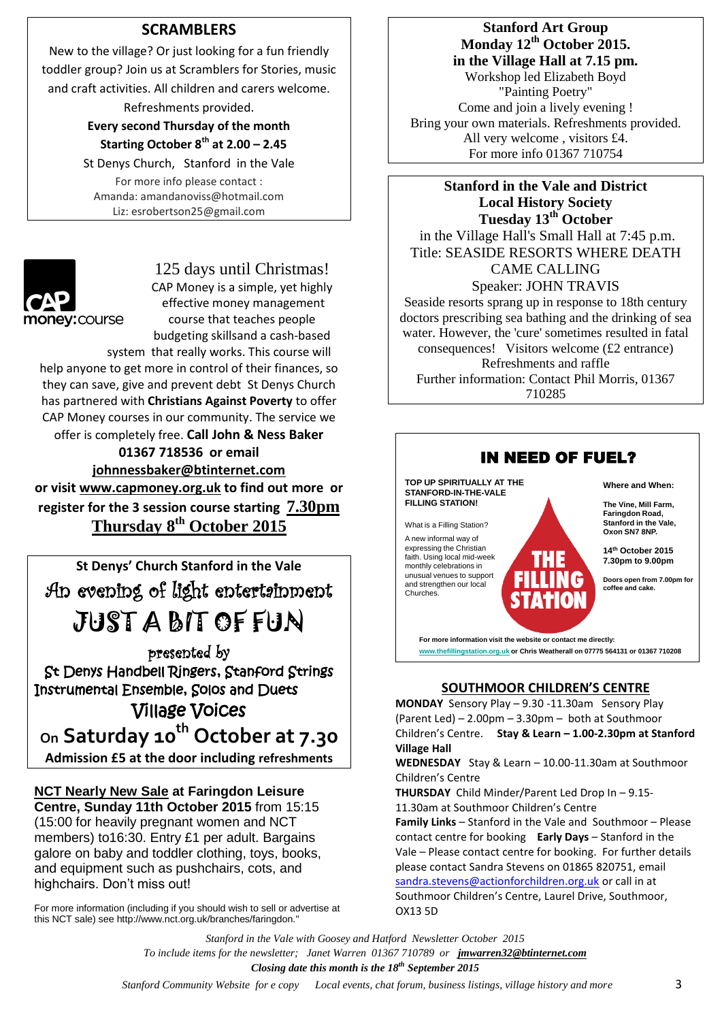## **SCRAMBLERS**

New to the village? Or just looking for a fun friendly toddler group? Join us at Scramblers for Stories, music and craft activities. All children and carers welcome.

Refreshments provided.

**Every second Thursday of the month Starting October 8th at 2.00 – 2.45**

St Denys Church, Stanford in the Vale For more info please contact : Amanda: amandanoviss@hotmail.com Liz: esrobertson25@gmail.com



125 days until Christmas! CAP Money is a simple, yet highly effective money management course that teaches people

budgeting skillsand a cash-based system that really works. This course will

help anyone to get more in control of their finances, so they can save, give and prevent debt St Denys Church has partnered with **Christians Against Poverty** to offer CAP Money courses in our community. The service we offer is completely free. **Call John & Ness Baker** 

**01367 718536 or email [johnnessbaker@btinternet.com](mailto:johnnessbaker@btinternet.com) or visit [www.capmoney.org.uk](http://www.capmoney.org.uk/) to find out more or register for the 3 session course starting 7.30pm Thursday 8th October 2015**



presented by St Denys Handbell Ringers, Stanford Strings Instrumental Ensemble, Solos and Duets Village Voices **On Saturday 10th October at 7.30**

**Admission £5 at the door including refreshments**

**NCT Nearly New Sale at Faringdon Leisure Centre, Sunday 11th October 2015** from 15:15 (15:00 for heavily pregnant women and NCT members) to16:30. Entry £1 per adult. Bargains galore on baby and toddler clothing, toys, books, and equipment such as pushchairs, cots, and highchairs. Don't miss out!

For more information (including if you should wish to sell or advertise at this NCT sale) see http://www.nct.org.uk/branches/faringdon."

## **Stanford Art Group Monday 12th October 2015. in the Village Hall at 7.15 pm.**

Workshop led Elizabeth Boyd "Painting Poetry" Come and join a lively evening ! Bring your own materials. Refreshments provided. All very welcome , visitors £4. For more info 01367 710754

**Stanford in the Vale and District Local History Society Tuesday 13th October** in the Village Hall's Small Hall at 7:45 p.m. Title: SEASIDE RESORTS WHERE DEATH CAME CALLING

Speaker: JOHN TRAVIS Seaside resorts sprang up in response to 18th century doctors prescribing sea bathing and the drinking of sea water. However, the 'cure' sometimes resulted in fatal consequences! Visitors welcome (£2 entrance) Refreshments and raffle Further information: Contact Phil Morris, 01367 710285



### **SOUTHMOOR CHILDREN'S CENTRE**

**MONDAY** Sensory Play – 9.30 -11.30am Sensory Play (Parent Led) – 2.00pm – 3.30pm – both at Southmoor Children's Centre. **Stay & Learn – 1.00-2.30pm at Stanford Village Hall**

**WEDNESDAY** Stay & Learn – 10.00-11.30am at Southmoor Children's Centre

**THURSDAY** Child Minder/Parent Led Drop In – 9.15- 11.30am at Southmoor Children's Centre

**Family Links** – Stanford in the Vale and Southmoor – Please contact centre for booking **Early Days** – Stanford in the Vale – Please contact centre for booking. For further details please contact Sandra Stevens on 01865 820751, email [sandra.stevens@actionforchildren.org.uk](mailto:sandra.stevens@actionforchildren.org.uk) or call in at Southmoor Children's Centre, Laurel Drive, Southmoor, OX13 5D

*Stanford in the Vale with Goosey and Hatford Newsletter October 2015 To include items for the newsletter; Janet Warren 01367 710789 or jmwarren32@btinternet.com Closing date this month is the 18th September 2015*

 *Stanford Community Website for e copy Local events, chat forum, business listings, village history and more* 3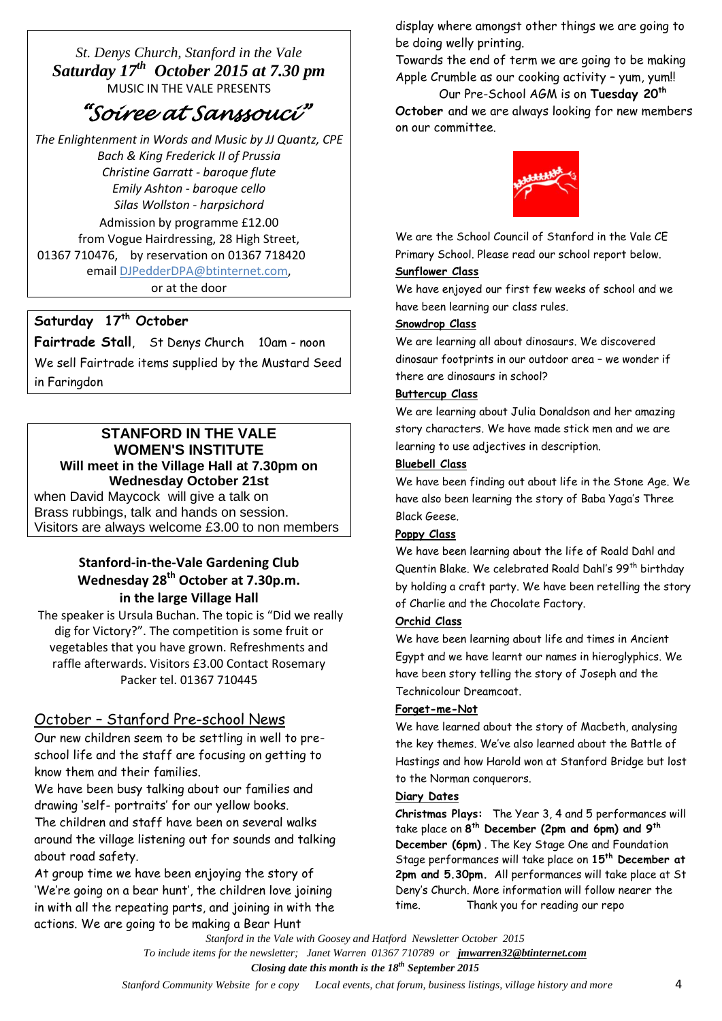*St. Denys Church, Stanford in the Vale Saturday 17th October 2015 at 7.30 pm* MUSIC IN THE VALE PRESENTS

# *"Soiree at Sanssouci"*

 *The Enlightenment in Words and Music by JJ Quantz, CPE Bach & King Frederick II of Prussia Christine Garratt - baroque flute Emily Ashton - baroque cello Silas Wollston - harpsichord* Admission by programme £12.00 from Vogue Hairdressing, 28 High Street, 01367 710476, by reservation on 01367 718420 email [DJPedderDPA@btinternet.com,](mailto:DJPedderDPA@btinternet.com)

or at the door

## **Saturday 17th October**

**Fairtrade Stall**, St Denys Church 10am - noon We sell Fairtrade items supplied by the Mustard Seed in Faringdon

## **STANFORD IN THE VALE WOMEN'S INSTITUTE Will meet in the Village Hall at 7.30pm on Wednesday October 21st**

when David Maycock will give a talk on Brass rubbings, talk and hands on session. Visitors are always welcome £3.00 to non members

## **Stanford-in-the-Vale Gardening Club Wednesday 28 th October at 7.30p.m. in the large Village Hall**

The speaker is Ursula Buchan. The topic is "Did we really dig for Victory?". The competition is some fruit or vegetables that you have grown. Refreshments and raffle afterwards. Visitors £3.00 Contact Rosemary Packer tel. 01367 710445

## October – Stanford Pre-school News

Our new children seem to be settling in well to preschool life and the staff are focusing on getting to know them and their families.

We have been busy talking about our families and drawing 'self- portraits' for our yellow books. The children and staff have been on several walks around the village listening out for sounds and talking about road safety.

At group time we have been enjoying the story of 'We're going on a bear hunt', the children love joining in with all the repeating parts, and joining in with the actions. We are going to be making a Bear Hunt

display where amongst other things we are going to be doing welly printing.

Towards the end of term we are going to be making Apple Crumble as our cooking activity – yum, yum!!

Our Pre-School AGM is on **Tuesday 20th October** and we are always looking for new members on our committee.



We are the School Council of Stanford in the Vale CE Primary School. Please read our school report below.

### **Sunflower Class**

We have enjoyed our first few weeks of school and we have been learning our class rules.

#### **Snowdrop Class**

We are learning all about dinosaurs. We discovered dinosaur footprints in our outdoor area – we wonder if there are dinosaurs in school?

#### **Buttercup Class**

We are learning about Julia Donaldson and her amazing story characters. We have made stick men and we are learning to use adjectives in description.

#### **Bluebell Class**

We have been finding out about life in the Stone Age. We have also been learning the story of Baba Yaga's Three Black Geese.

#### **Poppy Class**

We have been learning about the life of Roald Dahl and Quentin Blake. We celebrated Roald Dahl's 99<sup>th</sup> birthday by holding a craft party. We have been retelling the story of Charlie and the Chocolate Factory.

#### **Orchid Class**

We have been learning about life and times in Ancient Egypt and we have learnt our names in hieroglyphics. We have been story telling the story of Joseph and the Technicolour Dreamcoat.

#### **Forget-me-Not**

We have learned about the story of Macbeth, analysing the key themes. We've also learned about the Battle of Hastings and how Harold won at Stanford Bridge but lost to the Norman conquerors.

#### **Diary Dates**

**Christmas Plays:** The Year 3, 4 and 5 performances will take place on **8 th December (2pm and 6pm) and 9th December (6pm)** . The Key Stage One and Foundation Stage performances will take place on **15th December at 2pm and 5.30pm.** All performances will take place at St Deny's Church. More information will follow nearer the time. Thank you for reading our repo

*Stanford in the Vale with Goosey and Hatford Newsletter October 2015 To include items for the newsletter; Janet Warren 01367 710789 or jmwarren32@btinternet.com Closing date this month is the 18th September 2015*

 *Stanford Community Website for e copy Local events, chat forum, business listings, village history and more* 4